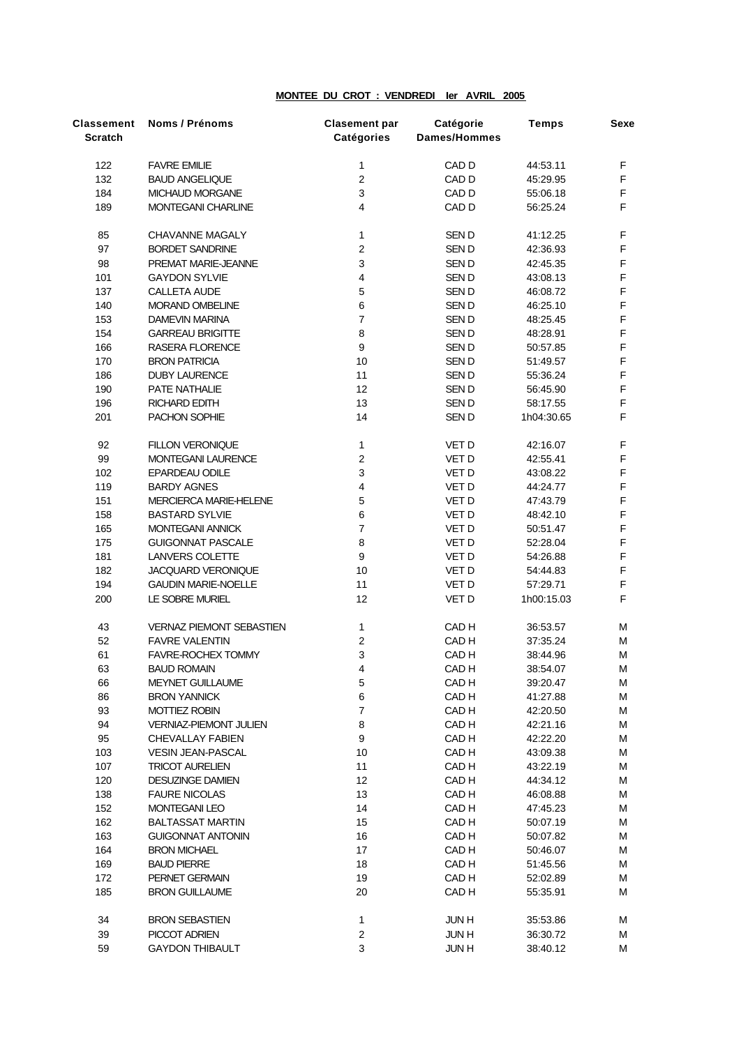## **MONTEE DU CROT : VENDREDI Ier AVRIL 2005**

| Classement<br><b>Scratch</b> | Noms / Prénoms                                           | <b>Clasement par</b><br>Catégories | Catégorie<br>Dames/Hommes | <b>Temps</b>         | <b>Sexe</b> |
|------------------------------|----------------------------------------------------------|------------------------------------|---------------------------|----------------------|-------------|
| 122                          | <b>FAVRE EMILIE</b>                                      | 1                                  | CAD D                     | 44:53.11             | F           |
| 132                          | <b>BAUD ANGELIQUE</b>                                    | $\boldsymbol{2}$                   | CAD D                     | 45:29.95             | F           |
| 184                          | MICHAUD MORGANE                                          | $\ensuremath{\mathsf{3}}$          | CAD D                     | 55:06.18             | F           |
| 189                          | <b>MONTEGANI CHARLINE</b>                                | $\overline{4}$                     | CAD <sub>D</sub>          | 56:25.24             | F           |
| 85                           | <b>CHAVANNE MAGALY</b>                                   | 1                                  | SEN D                     | 41:12.25             | F           |
| 97                           | <b>BORDET SANDRINE</b>                                   | $\mathbf 2$                        | SEN D                     | 42:36.93             | F           |
| 98                           | PREMAT MARIE-JEANNE                                      | $\mathsf 3$                        | SEN D                     | 42:45.35             | F           |
| 101                          | <b>GAYDON SYLVIE</b>                                     | $\pmb{4}$                          | SEN D                     | 43:08.13             | F           |
| 137                          | <b>CALLETA AUDE</b>                                      | $\mathbf 5$                        | SEN D                     | 46:08.72             | F           |
| 140                          | MORAND OMBELINE                                          | $\,6\,$                            | SEN D                     | 46:25.10             | F           |
| 153                          | <b>DAMEVIN MARINA</b>                                    | $\overline{\mathbf{7}}$            | SEN D                     | 48:25.45             | F           |
| 154                          | <b>GARREAU BRIGITTE</b>                                  | 8                                  | SEN D                     | 48:28.91             | F           |
| 166                          | RASERA FLORENCE                                          | $\mathsf g$                        | SEN D                     | 50:57.85             | F           |
| 170                          | <b>BRON PATRICIA</b>                                     | $10$                               | SEN D                     | 51:49.57             | F           |
| 186                          | <b>DUBY LAURENCE</b>                                     | 11                                 | SEN D                     | 55:36.24             | F           |
| 190                          | PATE NATHALIE                                            | 12                                 | SEN D                     | 56:45.90             | F           |
| 196                          | <b>RICHARD EDITH</b>                                     | 13                                 | SEN D                     | 58:17.55             | F           |
| 201                          | PACHON SOPHIE                                            | 14                                 | SEN D                     | 1h04:30.65           | F           |
| 92                           | <b>FILLON VERONIQUE</b>                                  | $\mathbf{1}$                       | VET D                     | 42:16.07             | F           |
| 99                           | <b>MONTEGANI LAURENCE</b>                                | $\boldsymbol{2}$                   | VET D                     | 42:55.41             | F           |
| 102                          | <b>EPARDEAU ODILE</b>                                    | $\mathsf 3$                        | VET D                     | 43:08.22             | F           |
| 119                          | <b>BARDY AGNES</b>                                       | $\pmb{4}$                          | VET D                     | 44:24.77             | F           |
| 151                          | <b>MERCIERCA MARIE-HELENE</b>                            | $\mathbf 5$                        | VET D                     | 47:43.79             | F           |
| 158                          | <b>BASTARD SYLVIE</b>                                    | $\,6\,$                            | VET D                     | 48:42.10             | F           |
| 165                          | MONTEGANI ANNICK                                         | $\overline{7}$                     | VET D                     | 50:51.47             | F           |
| 175                          | <b>GUIGONNAT PASCALE</b>                                 | $\bf 8$                            | VET D                     | 52:28.04             | F           |
| 181                          | LANVERS COLETTE                                          | $\boldsymbol{9}$                   | VET D                     | 54:26.88             | F           |
| 182                          | JACQUARD VERONIQUE                                       | $10$                               | VET D                     | 54:44.83             | F           |
| 194                          | <b>GAUDIN MARIE-NOELLE</b>                               | 11                                 | VET D                     | 57:29.71             | F           |
| 200                          | LE SOBRE MURIEL                                          | 12                                 | VET D                     | 1h00:15.03           | F           |
| 43                           | VERNAZ PIEMONT SEBASTIEN                                 | 1                                  | CAD <sub>H</sub>          | 36:53.57             | M           |
| 52                           | <b>FAVRE VALENTIN</b>                                    | $\boldsymbol{2}$                   | CAD <sub>H</sub>          | 37:35.24             | M           |
| 61                           | <b>FAVRE-ROCHEX TOMMY</b>                                | $\mathsf 3$                        | CAD <sub>H</sub>          | 38:44.96             | м           |
| 63                           | <b>BAUD ROMAIN</b>                                       | $\overline{4}$                     | CAD <sub>H</sub>          | 38:54.07             | М           |
| 66                           | <b>MEYNET GUILLAUME</b>                                  | 5                                  | CAD <sub>H</sub>          | 39:20.47             | м           |
| 86                           | <b>BRON YANNICK</b>                                      | $\, 6$                             | CAD <sub>H</sub>          | 41:27.88             | M           |
| 93                           | <b>MOTTIEZ ROBIN</b>                                     | $\boldsymbol{7}$                   | CAD H                     | 42:20.50             | M           |
| 94<br>95                     | <b>VERNIAZ-PIEMONT JULIEN</b><br><b>CHEVALLAY FABIEN</b> | 8<br>$\boldsymbol{9}$              | CAD H<br>CAD <sub>H</sub> | 42:21.16<br>42:22.20 | M<br>M      |
| 103                          | <b>VESIN JEAN-PASCAL</b>                                 | 10                                 | CAD <sub>H</sub>          | 43:09.38             | M           |
| 107                          | <b>TRICOT AURELIEN</b>                                   | 11                                 | CAD H                     | 43:22.19             | M           |
| 120                          | <b>DESUZINGE DAMIEN</b>                                  | 12                                 | CAD H                     | 44:34.12             | M           |
| 138                          | <b>FAURE NICOLAS</b>                                     | 13                                 | CAD H                     | 46:08.88             | M           |
| 152                          | <b>MONTEGANI LEO</b>                                     | 14                                 | CAD H                     | 47:45.23             | M           |
| 162                          | <b>BALTASSAT MARTIN</b>                                  | 15                                 | CAD H                     | 50:07.19             | M           |
| 163                          | <b>GUIGONNAT ANTONIN</b>                                 | 16                                 | CAD H                     | 50:07.82             | M           |
| 164                          | <b>BRON MICHAEL</b>                                      | 17                                 | CAD H                     | 50:46.07             | M           |
| 169                          | <b>BAUD PIERRE</b>                                       | 18                                 | CAD H                     | 51:45.56             | м           |
| 172                          | PERNET GERMAIN                                           | 19                                 | CAD H                     | 52:02.89             | M           |
| 185                          | <b>BRON GUILLAUME</b>                                    | 20                                 | CAD H                     | 55:35.91             | м           |
| 34                           | <b>BRON SEBASTIEN</b>                                    | $\mathbf{1}$                       | <b>JUNH</b>               | 35:53.86             | м           |
| 39                           | PICCOT ADRIEN                                            | $\boldsymbol{2}$                   | <b>JUNH</b>               | 36:30.72             | M           |
| 59                           | <b>GAYDON THIBAULT</b>                                   | 3                                  | <b>JUNH</b>               | 38:40.12             | М           |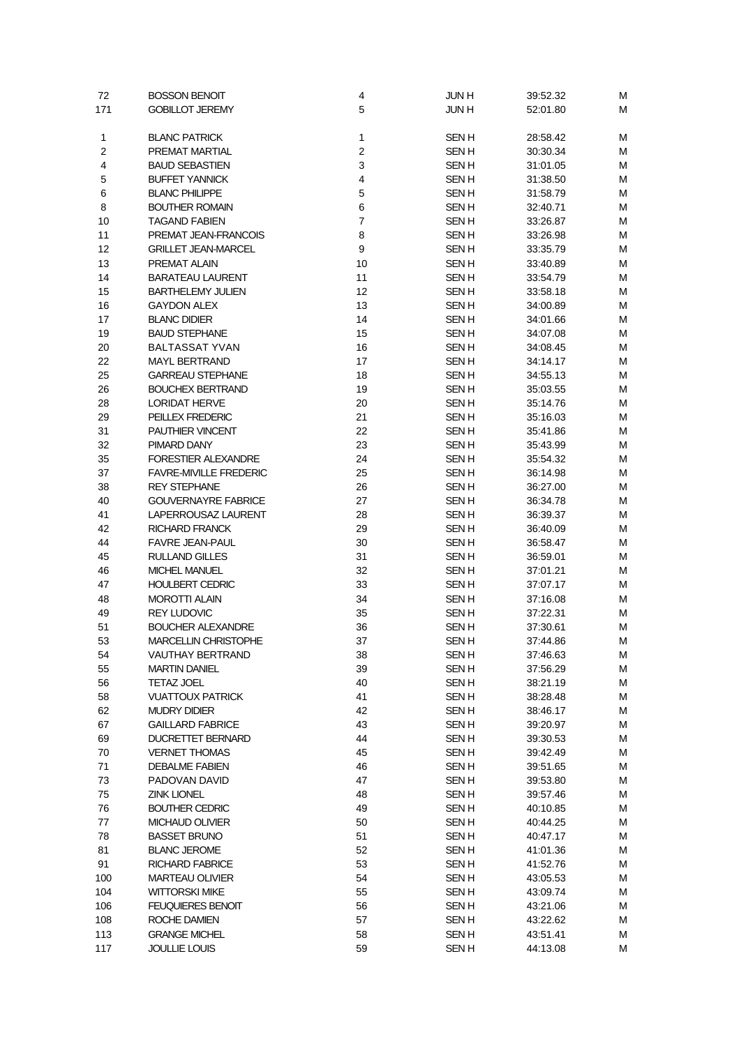| 72       | <b>BOSSON BENOIT</b>                           | 4                       | <b>JUNH</b>                     | 39:52.32             | М      |
|----------|------------------------------------------------|-------------------------|---------------------------------|----------------------|--------|
| 171      | <b>GOBILLOT JEREMY</b>                         | 5                       | <b>JUNH</b>                     | 52:01.80             | М      |
|          |                                                |                         |                                 |                      |        |
| 1        | <b>BLANC PATRICK</b>                           | 1                       | <b>SENH</b>                     | 28:58.42             | М      |
| 2        | PREMAT MARTIAL                                 | $\overline{c}$          | SEN H                           | 30:30.34             | М      |
| 4        | <b>BAUD SEBASTIEN</b>                          | 3                       | <b>SENH</b>                     | 31:01.05             | M      |
| 5        | <b>BUFFET YANNICK</b>                          | $\overline{\mathbf{4}}$ | SEN H                           | 31:38.50             | M      |
| 6        | <b>BLANC PHILIPPE</b>                          | $\mathbf 5$             | SEN H                           | 31:58.79             | М      |
| 8        | <b>BOUTHER ROMAIN</b>                          | 6                       | SEN H                           | 32:40.71             | М      |
| 10       | <b>TAGAND FABIEN</b>                           | $\overline{7}$          | SEN <sub>H</sub>                | 33:26.87             | M      |
| 11       | PREMAT JEAN-FRANCOIS                           | 8                       | SEN H                           | 33:26.98             | M      |
| 12       | <b>GRILLET JEAN-MARCEL</b>                     | 9                       | <b>SENH</b>                     | 33:35.79             | М      |
| 13       | PREMAT ALAIN                                   | 10                      | <b>SENH</b>                     | 33:40.89             | М      |
| 14       | <b>BARATEAU LAURENT</b>                        | 11                      | <b>SENH</b>                     | 33:54.79             | M      |
| 15       | <b>BARTHELEMY JULIEN</b><br><b>GAYDON ALEX</b> | 12                      | <b>SENH</b><br><b>SENH</b>      | 33:58.18             | M<br>M |
| 16       | <b>BLANC DIDIER</b>                            | 13<br>14                | <b>SENH</b>                     | 34:00.89             |        |
| 17       | <b>BAUD STEPHANE</b>                           |                         |                                 | 34:01.66             | М<br>M |
| 19<br>20 | <b>BALTASSAT YVAN</b>                          | 15<br>16                | <b>SENH</b><br>SEN <sub>H</sub> | 34:07.08<br>34:08.45 | M      |
| 22       | <b>MAYL BERTRAND</b>                           | 17                      | <b>SENH</b>                     | 34:14.17             | M      |
| 25       | <b>GARREAU STEPHANE</b>                        | 18                      | SEN <sub>H</sub>                | 34:55.13             | М      |
| 26       | <b>BOUCHEX BERTRAND</b>                        | 19                      | <b>SENH</b>                     | 35:03.55             | M      |
| 28       | <b>LORIDAT HERVE</b>                           | 20                      | SEN <sub>H</sub>                | 35:14.76             | M      |
| 29       | PEILLEX FREDERIC                               | 21                      | <b>SENH</b>                     | 35:16.03             | M      |
| 31       | PAUTHIER VINCENT                               | 22                      | <b>SENH</b>                     | 35:41.86             | М      |
| 32       | PIMARD DANY                                    | 23                      | SEN <sub>H</sub>                | 35:43.99             | М      |
| 35       | <b>FORESTIER ALEXANDRE</b>                     | 24                      | SEN H                           | 35:54.32             | М      |
| 37       | <b>FAVRE-MIVILLE FREDERIC</b>                  | 25                      | <b>SENH</b>                     | 36:14.98             | М      |
| 38       | <b>REY STEPHANE</b>                            | 26                      | <b>SENH</b>                     | 36:27.00             | М      |
| 40       | <b>GOUVERNAYRE FABRICE</b>                     | 27                      | <b>SENH</b>                     | 36:34.78             | M      |
| 41       | LAPERROUSAZ LAURENT                            | 28                      | <b>SENH</b>                     | 36:39.37             | M      |
| 42       | <b>RICHARD FRANCK</b>                          | 29                      | <b>SENH</b>                     | 36:40.09             | M      |
| 44       | <b>FAVRE JEAN-PAUL</b>                         | 30                      | <b>SENH</b>                     | 36:58.47             | М      |
| 45       | <b>RULLAND GILLES</b>                          | 31                      | <b>SENH</b>                     | 36:59.01             | M      |
| 46       | <b>MICHEL MANUEL</b>                           | 32                      | SEN <sub>H</sub>                | 37:01.21             | M      |
| 47       | <b>HOULBERT CEDRIC</b>                         | 33                      | <b>SENH</b>                     | 37:07.17             | М      |
| 48       | <b>MOROTTI ALAIN</b>                           | 34                      | <b>SENH</b>                     | 37:16.08             | М      |
| 49       | <b>REY LUDOVIC</b>                             | 35                      | <b>SENH</b>                     | 37:22.31             | M      |
| 51       | <b>BOUCHER ALEXANDRE</b>                       | 36                      | SEN <sub>H</sub>                | 37:30.61             | M      |
| 53       | <b>MARCELLIN CHRISTOPHE</b>                    | 37                      | SEN H                           | 37:44.86             | M      |
| 54       | VAUTHAY BERTRAND                               | 38                      | <b>SENH</b>                     | 37:46.63             | М      |
| 55       | <b>MARTIN DANIEL</b>                           | 39                      | <b>SENH</b>                     | 37:56.29             | М      |
| 56       | <b>TETAZ JOEL</b>                              | 40                      | SEN H                           | 38:21.19             | M      |
| 58       | <b>VUATTOUX PATRICK</b>                        | 41                      | <b>SENH</b>                     | 38:28.48             | M      |
| 62       | <b>MUDRY DIDIER</b>                            | 42                      | <b>SENH</b>                     | 38:46.17             | M      |
| 67       | <b>GAILLARD FABRICE</b>                        | 43                      | SEN H                           | 39:20.97             | M      |
| 69       | DUCRETTET BERNARD                              | 44                      | SEN H                           | 39:30.53             | M      |
| 70       | <b>VERNET THOMAS</b>                           | 45                      | <b>SENH</b>                     | 39:42.49             | M      |
| 71       | <b>DEBALME FABIEN</b>                          | 46                      | <b>SENH</b>                     | 39:51.65             | M      |
| 73       | PADOVAN DAVID                                  | 47                      | SEN H                           | 39:53.80             | M      |
| 75       | <b>ZINK LIONEL</b>                             | 48                      | <b>SENH</b>                     | 39:57.46             | M      |
| 76       | <b>BOUTHER CEDRIC</b>                          | 49                      | <b>SENH</b>                     | 40:10.85             | M      |
| 77       | <b>MICHAUD OLIVIER</b>                         | 50                      | <b>SENH</b>                     | 40:44.25             | M      |
| 78       | <b>BASSET BRUNO</b>                            | 51                      | SEN H                           | 40:47.17             | M      |
| 81       | <b>BLANC JEROME</b>                            | 52                      | <b>SENH</b>                     | 41:01.36             | M      |
| 91       | <b>RICHARD FABRICE</b>                         | 53                      | <b>SENH</b>                     | 41:52.76             | M      |
| 100      | <b>MARTEAU OLIVIER</b>                         | 54                      | <b>SENH</b>                     | 43:05.53             | M      |
| 104      | <b>WITTORSKI MIKE</b>                          | 55                      | SEN H                           | 43:09.74             | M      |
| 106      | <b>FEUQUIERES BENOIT</b>                       | 56                      | SEN H                           | 43:21.06             | M      |
| 108      | ROCHE DAMIEN                                   | 57                      | SEN H                           | 43:22.62             | М      |
| 113      | <b>GRANGE MICHEL</b>                           | 58                      | <b>SENH</b>                     | 43:51.41             | M      |
| 117      | <b>JOULLIE LOUIS</b>                           | 59                      | <b>SENH</b>                     | 44:13.08             | M      |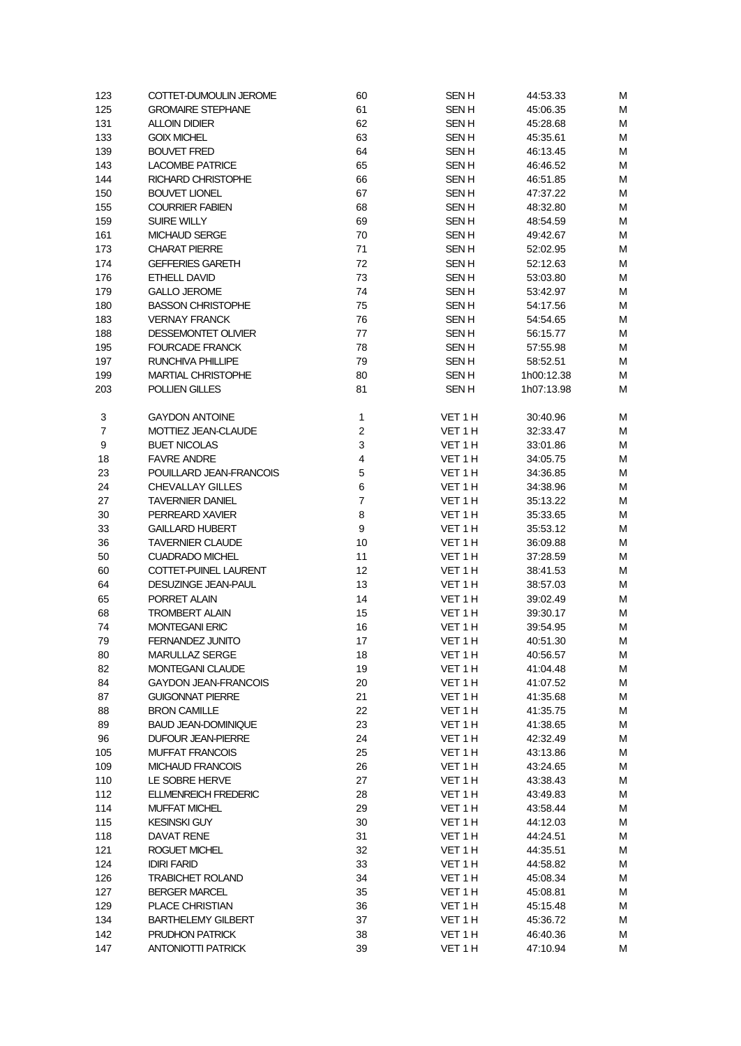| 123            | COTTET-DUMOULIN JEROME            | 60             | <b>SENH</b>        | 44:53.33             | М      |
|----------------|-----------------------------------|----------------|--------------------|----------------------|--------|
| 125            | <b>GROMAIRE STEPHANE</b>          | 61             | SEN <sub>H</sub>   | 45:06.35             | М      |
| 131            | <b>ALLOIN DIDIER</b>              | 62             | <b>SENH</b>        | 45:28.68             | М      |
| 133            | <b>GOIX MICHEL</b>                | 63             | <b>SENH</b>        | 45:35.61             | М      |
| 139            | <b>BOUVET FRED</b>                | 64             | <b>SENH</b>        | 46:13.45             | M      |
| 143            | <b>LACOMBE PATRICE</b>            | 65             | <b>SENH</b>        | 46:46.52             | M      |
| 144            | RICHARD CHRISTOPHE                | 66             | <b>SENH</b>        | 46:51.85             | M      |
| 150            | <b>BOUVET LIONEL</b>              | 67             | <b>SENH</b>        | 47:37.22             | M      |
| 155            | <b>COURRIER FABIEN</b>            | 68             | <b>SENH</b>        | 48:32.80             | M      |
| 159            | <b>SUIRE WILLY</b>                | 69             | <b>SENH</b>        | 48:54.59             | М      |
| 161            | <b>MICHAUD SERGE</b>              | 70             | <b>SENH</b>        | 49:42.67             | М      |
| 173            | <b>CHARAT PIERRE</b>              | 71             | <b>SENH</b>        | 52:02.95             | М      |
| 174            | <b>GEFFERIES GARETH</b>           | 72             | <b>SENH</b>        | 52:12.63             | М      |
| 176            | ETHELL DAVID                      | 73             | <b>SENH</b>        | 53:03.80             | М      |
| 179            | <b>GALLO JEROME</b>               | 74             | <b>SENH</b>        | 53:42.97             | M      |
| 180            | <b>BASSON CHRISTOPHE</b>          | 75             | <b>SENH</b>        | 54:17.56             | М      |
| 183            | <b>VERNAY FRANCK</b>              | 76             | <b>SENH</b>        | 54:54.65             | М      |
| 188            | DESSEMONTET OLIVIER               | 77             | SEN <sub>H</sub>   | 56:15.77             | м      |
| 195            | <b>FOURCADE FRANCK</b>            | 78             | <b>SENH</b>        | 57:55.98             | М      |
| 197            | RUNCHIVA PHILLIPE                 | 79             | <b>SENH</b>        | 58:52.51             | М      |
| 199            | <b>MARTIAL CHRISTOPHE</b>         | 80             | <b>SENH</b>        | 1h00:12.38           | М      |
| 203            | POLLIEN GILLES                    | 81             | <b>SENH</b>        | 1h07:13.98           | М      |
|                |                                   |                |                    |                      |        |
| 3              | <b>GAYDON ANTOINE</b>             | $\mathbf{1}$   | VET 1 H            | 30:40.96             | M      |
| $\overline{7}$ | MOTTIEZ JEAN-CLAUDE               | $\overline{c}$ | VET <sub>1</sub> H | 32:33.47             | М      |
| 9              | <b>BUET NICOLAS</b>               | 3              | VET 1 H            | 33:01.86             | м      |
| 18             | <b>FAVRE ANDRE</b>                | 4              | VET 1 H            | 34:05.75             | М      |
| 23             | POUILLARD JEAN-FRANCOIS           | 5              | VET 1 H            | 34:36.85             | М      |
| 24             | <b>CHEVALLAY GILLES</b>           | 6              | VET 1 H            | 34:38.96             | М      |
| 27             | <b>TAVERNIER DANIEL</b>           | $\overline{7}$ | VET 1 H            | 35:13.22             | М      |
| 30             | PERREARD XAVIER                   | 8              | VET 1 H            | 35:33.65             | M      |
| 33             | <b>GAILLARD HUBERT</b>            | 9              | VET 1 H            | 35:53.12             | М      |
| 36             | <b>TAVERNIER CLAUDE</b>           | 10             | VET 1 H            | 36:09.88             | М      |
| 50             | <b>CUADRADO MICHEL</b>            | 11             | VET 1 H            | 37:28.59             | м      |
| 60             | COTTET-PUINEL LAURENT             | 12             | VET 1 H            | 38:41.53             | М      |
| 64             | DESUZINGE JEAN-PAUL               | 13             | VET 1 H            | 38:57.03             | М      |
| 65             | PORRET ALAIN                      | 14             | VET 1 H            | 39:02.49             | M      |
| 68             | <b>TROMBERT ALAIN</b>             | 15             | VET 1 H            | 39:30.17             | M      |
| 74             | <b>MONTEGANI ERIC</b>             | 16             | VET 1 H            | 39:54.95             | M      |
| 79             | FERNANDEZ JUNITO                  | 17             | VET <sub>1</sub> H | 40:51.30             | M      |
| 80             | MARULLAZ SERGE                    | 18             | VET 1 H            | 40:56.57             | М      |
| 82             | <b>MONTEGANI CLAUDE</b>           | 19             | VET 1 H            | 41:04.48             | М      |
| 84             | <b>GAYDON JEAN-FRANCOIS</b>       | 20             | VET 1 H            | 41:07.52             | М      |
| 87             | <b>GUIGONNAT PIERRE</b>           | 21             | VET 1 H            | 41:35.68             | М      |
| 88             | <b>BRON CAMILLE</b>               | 22             | VET 1 H            | 41:35.75             | M      |
| 89             | <b>BAUD JEAN-DOMINIQUE</b>        | 23             | VET 1 H            | 41:38.65             | M      |
| 96             | DUFOUR JEAN-PIERRE                | 24             | VET 1 H            | 42:32.49             | M      |
| 105            | <b>MUFFAT FRANCOIS</b>            | 25             | VET 1 H            | 43:13.86             | M      |
| 109            | MICHAUD FRANCOIS                  | 26             | VET 1 H            | 43:24.65             | M      |
| 110            | LE SOBRE HERVE                    | 27             | VET 1 H            | 43:38.43             | M      |
| 112            | <b>ELLMENREICH FREDERIC</b>       | 28             | VET 1 H            | 43:49.83             | M      |
| 114            | <b>MUFFAT MICHEL</b>              | 29             | VET 1 H            | 43:58.44             | М      |
| 115<br>118     | <b>KESINSKI GUY</b><br>DAVAT RENE | 30<br>31       | VET 1 H<br>VET 1 H | 44:12.03<br>44:24.51 | M<br>M |
| 121            | <b>ROGUET MICHEL</b>              | 32             | VET 1 H            | 44:35.51             | M      |
| 124            | <b>IDIRI FARID</b>                | 33             | VET 1 H            | 44:58.82             | М      |
| 126            | <b>TRABICHET ROLAND</b>           | 34             | VET 1 H            | 45:08.34             | М      |
| 127            | <b>BERGER MARCEL</b>              | 35             | VET 1 H            | 45:08.81             | М      |
| 129            | PLACE CHRISTIAN                   | 36             | VET 1 H            | 45:15.48             | М      |
| 134            | <b>BARTHELEMY GILBERT</b>         | 37             | VET 1 H            | 45:36.72             | М      |
| 142            | PRUDHON PATRICK                   | 38             | VET 1 H            | 46:40.36             | M      |
| 147            | <b>ANTONIOTTI PATRICK</b>         | 39             | VET 1 H            | 47:10.94             | М      |
|                |                                   |                |                    |                      |        |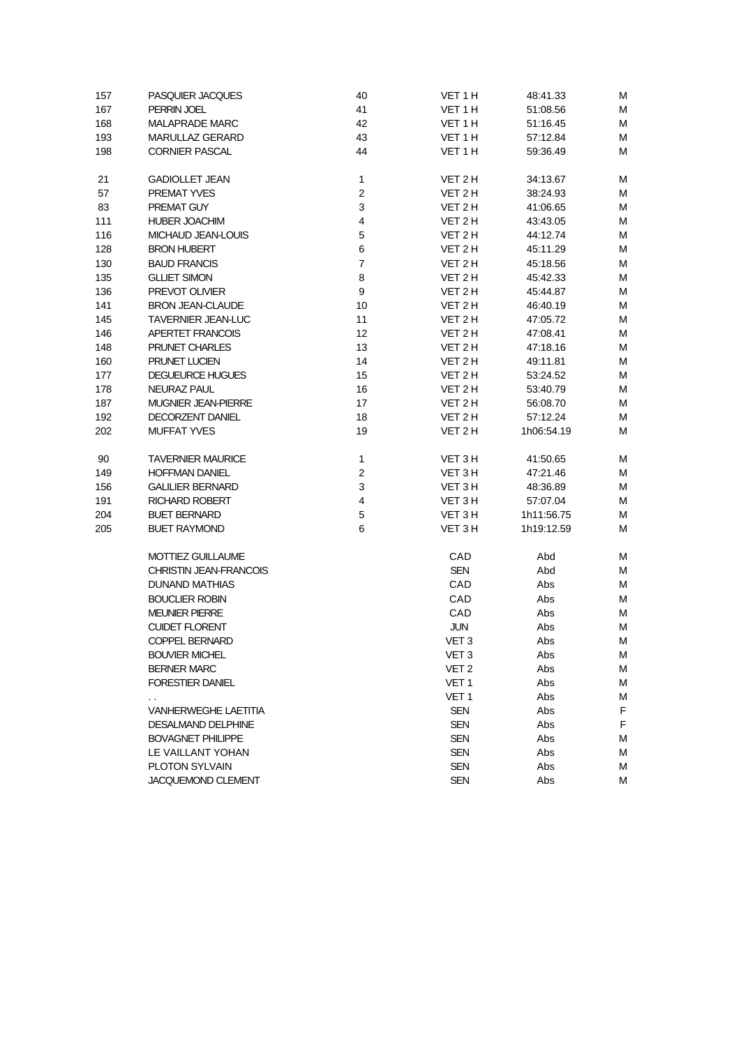| 157 | <b>PASQUIER JACQUES</b>       | 40             | VET 1 H          | 48:41.33   | М |
|-----|-------------------------------|----------------|------------------|------------|---|
| 167 | PERRIN JOEL                   | 41             | VET 1 H          | 51:08.56   | М |
| 168 | <b>MALAPRADE MARC</b>         | 42             | VET 1 H          | 51:16.45   | M |
| 193 | <b>MARULLAZ GERARD</b>        | 43             | VET 1 H          | 57:12.84   | M |
| 198 | <b>CORNIER PASCAL</b>         | 44             | VET 1 H          | 59:36.49   | М |
| 21  | <b>GADIOLLET JEAN</b>         | 1              | VET 2 H          | 34:13.67   | M |
| 57  | <b>PREMAT YVES</b>            | $\overline{c}$ | VET 2 H          | 38:24.93   | M |
| 83  | PREMAT GUY                    | 3              | VET 2 H          | 41:06.65   | M |
| 111 | <b>HUBER JOACHIM</b>          | 4              | VET 2 H          | 43:43.05   | М |
| 116 | MICHAUD JEAN-LOUIS            | 5              | VET 2 H          | 44:12.74   | M |
| 128 | <b>BRON HUBERT</b>            | 6              | VET 2 H          | 45:11.29   | M |
| 130 | <b>BAUD FRANCIS</b>           | $\overline{7}$ | VET 2 H          | 45:18.56   | M |
| 135 | <b>GLLIET SIMON</b>           | 8              | VET 2 H          | 45:42.33   | M |
| 136 | PREVOT OLIVIER                | 9              | VET 2 H          | 45:44.87   | м |
| 141 | <b>BRON JEAN-CLAUDE</b>       | 10             | VET 2 H          | 46:40.19   | M |
| 145 | <b>TAVERNIER JEAN-LUC</b>     | 11             | VET 2 H          | 47:05.72   | М |
| 146 | APERTET FRANCOIS              | 12             | VET 2 H          | 47:08.41   | М |
| 148 | <b>PRUNET CHARLES</b>         | 13             | VET 2 H          | 47:18.16   | М |
| 160 | PRUNET LUCIEN                 | 14             | VET 2H           | 49:11.81   | M |
| 177 | <b>DEGUEURCE HUGUES</b>       | 15             | VET 2H           | 53:24.52   | M |
| 178 | <b>NEURAZ PAUL</b>            | 16             | VET 2 H          | 53:40.79   | M |
| 187 | <b>MUGNIER JEAN-PIERRE</b>    | 17             | VET 2 H          | 56:08.70   | М |
| 192 | DECORZENT DANIEL              | 18             | VET 2 H          | 57:12.24   | М |
| 202 | <b>MUFFAT YVES</b>            | 19             | VET 2 H          | 1h06:54.19 | М |
| 90  | <b>TAVERNIER MAURICE</b>      | $\mathbf{1}$   | VET 3 H          | 41:50.65   | M |
| 149 | <b>HOFFMAN DANIEL</b>         | $\overline{c}$ | VET 3 H          | 47:21.46   | M |
| 156 | <b>GALILIER BERNARD</b>       | 3              | VET 3 H          | 48:36.89   | M |
| 191 | <b>RICHARD ROBERT</b>         | 4              | VET 3 H          | 57:07.04   | M |
| 204 | <b>BUET BERNARD</b>           | 5              | VET 3 H          | 1h11:56.75 | м |
| 205 | <b>BUET RAYMOND</b>           | 6              | VET 3 H          | 1h19:12.59 | М |
|     | <b>MOTTIEZ GUILLAUME</b>      |                | CAD              | Abd        | M |
|     | <b>CHRISTIN JEAN-FRANCOIS</b> |                | <b>SEN</b>       | Abd        | M |
|     | <b>DUNAND MATHIAS</b>         |                | CAD              | Abs        | M |
|     | <b>BOUCLIER ROBIN</b>         |                | CAD              | Abs        | M |
|     | <b>MEUNIER PIERRE</b>         |                | CAD              | Abs        | M |
|     | <b>CUIDET FLORENT</b>         |                | <b>JUN</b>       | Abs        | M |
|     | <b>COPPEL BERNARD</b>         |                | VET <sub>3</sub> | Abs        | М |
|     | <b>BOUVIER MICHEL</b>         |                | VET <sub>3</sub> | Abs        | M |
|     | <b>BERNER MARC</b>            |                | VET <sub>2</sub> | Abs        | М |
|     | <b>FORESTIER DANIEL</b>       |                | VET 1            | Abs        | М |
|     |                               |                | VET <sub>1</sub> | Abs        | M |
|     | <b>VANHERWEGHE LAETITIA</b>   |                | SEN              | Abs        | F |
|     | <b>DESALMAND DELPHINE</b>     |                | <b>SEN</b>       | Abs        | F |
|     | <b>BOVAGNET PHILIPPE</b>      |                | <b>SEN</b>       | Abs        | М |
|     | LE VAILLANT YOHAN             |                | <b>SEN</b>       | Abs        | M |
|     | <b>PLOTON SYLVAIN</b>         |                | <b>SEN</b>       | Abs        | М |
|     | JACQUEMOND CLEMENT            |                | <b>SEN</b>       | Abs        | М |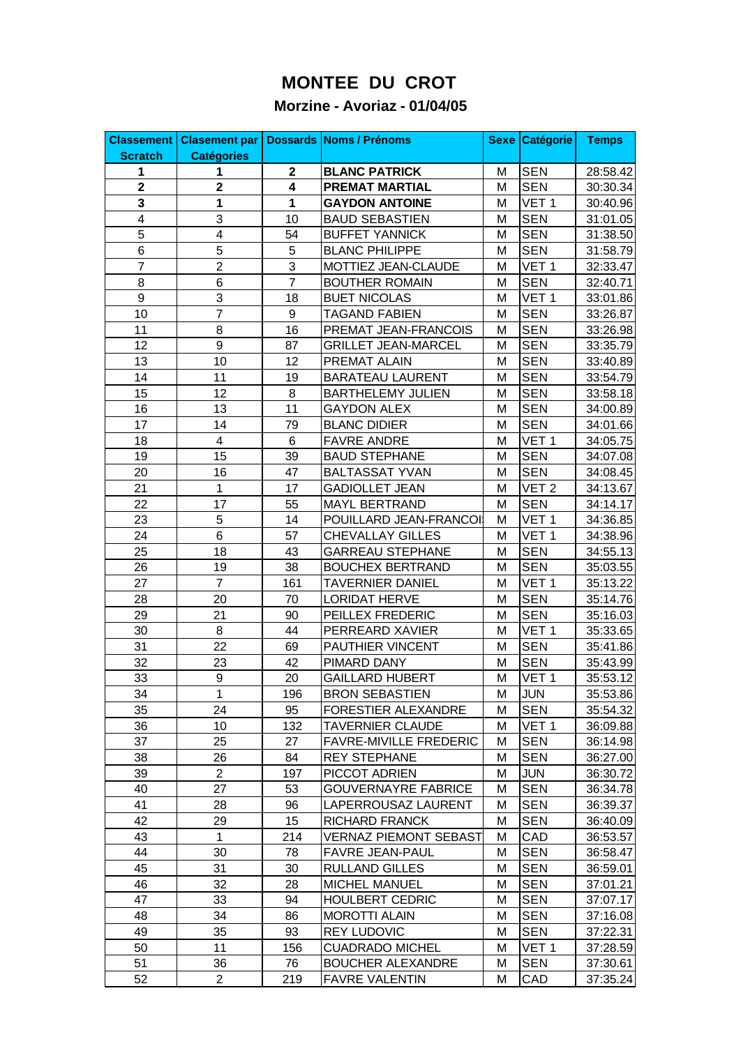## **MONTEE DU CROT**

## **Morzine - Avoriaz - 01/04/05**

| <b>Classement</b> | <b>Clasement par</b>    |                         | <b>Dossards Noms / Prénoms</b> | <b>Sexe</b> | Catégorie        | <b>Temps</b> |
|-------------------|-------------------------|-------------------------|--------------------------------|-------------|------------------|--------------|
| <b>Scratch</b>    | <b>Catégories</b>       |                         |                                |             |                  |              |
| 1                 | 1                       | $\mathbf{2}$            | <b>BLANC PATRICK</b>           | M           | <b>SEN</b>       | 28:58.42     |
| $\overline{2}$    | $\overline{\mathbf{2}}$ | $\overline{\mathbf{4}}$ | <b>PREMAT MARTIAL</b>          | M           | <b>SEN</b>       | 30:30.34     |
| $\mathbf{3}$      | 1                       | 1                       | <b>GAYDON ANTOINE</b>          | M           | VET <sub>1</sub> | 30:40.96     |
| $\overline{4}$    | 3                       | 10                      | <b>BAUD SEBASTIEN</b>          | M           | <b>SEN</b>       | 31:01.05     |
| $\overline{5}$    | $\overline{4}$          | 54                      | <b>BUFFET YANNICK</b>          | M           | <b>SEN</b>       | 31:38.50     |
| $\overline{6}$    | 5                       | 5                       | <b>BLANC PHILIPPE</b>          | M           | <b>SEN</b>       | 31:58.79     |
| $\overline{7}$    | $\overline{c}$          | 3                       | MOTTIEZ JEAN-CLAUDE            | M           | VET <sub>1</sub> | 32:33.47     |
| 8                 | 6                       | $\overline{7}$          | <b>BOUTHER ROMAIN</b>          | M           | <b>SEN</b>       | 32:40.71     |
| $\boldsymbol{9}$  | 3                       | 18                      | <b>BUET NICOLAS</b>            | M           | VET <sub>1</sub> | 33:01.86     |
| 10                | $\overline{7}$          | 9                       | <b>TAGAND FABIEN</b>           | M           | <b>SEN</b>       | 33:26.87     |
| 11                | 8                       | 16                      | PREMAT JEAN-FRANCOIS           | M           | <b>SEN</b>       | 33:26.98     |
| 12                | $\boldsymbol{9}$        | 87                      | <b>GRILLET JEAN-MARCEL</b>     | M           | <b>SEN</b>       | 33:35.79     |
| 13                | 10                      | 12                      | PREMAT ALAIN                   | M           | <b>SEN</b>       | 33:40.89     |
| 14                | 11                      | 19                      | <b>BARATEAU LAURENT</b>        | M           | <b>SEN</b>       | 33:54.79     |
| 15                | 12                      | 8                       | <b>BARTHELEMY JULIEN</b>       | M           | <b>SEN</b>       | 33:58.18     |
| 16                | 13                      | 11                      | <b>GAYDON ALEX</b>             | M           | <b>SEN</b>       | 34:00.89     |
| 17                | 14                      | 79                      | <b>BLANC DIDIER</b>            | M           | <b>SEN</b>       | 34:01.66     |
| 18                | $\overline{\mathbf{4}}$ | 6                       | <b>FAVRE ANDRE</b>             | M           | VET <sub>1</sub> | 34:05.75     |
| 19                | 15                      | 39                      | <b>BAUD STEPHANE</b>           | M           | <b>SEN</b>       | 34:07.08     |
| 20                | 16                      | 47                      | <b>BALTASSAT YVAN</b>          | M           | <b>SEN</b>       | 34:08.45     |
| 21                | 1                       | 17                      | <b>GADIOLLET JEAN</b>          | M           | VET <sub>2</sub> | 34:13.67     |
| 22                | 17                      | 55                      | MAYL BERTRAND                  | M           | <b>SEN</b>       | 34:14.17     |
| 23                | 5                       | 14                      | POUILLARD JEAN-FRANCOI         | M           | VET <sub>1</sub> | 34:36.85     |
| 24                | 6                       | 57                      | <b>CHEVALLAY GILLES</b>        | M           | VET <sub>1</sub> | 34:38.96     |
| 25                | 18                      | 43                      | <b>GARREAU STEPHANE</b>        | M           | <b>SEN</b>       | 34:55.13     |
| 26                | 19                      | 38                      | <b>BOUCHEX BERTRAND</b>        | M           | <b>SEN</b>       | 35:03.55     |
| 27                | $\overline{7}$          | 161                     | <b>TAVERNIER DANIEL</b>        | M           | VET <sub>1</sub> | 35:13.22     |
| 28                | 20                      | 70                      | <b>LORIDAT HERVE</b>           | M           | <b>SEN</b>       | 35:14.76     |
| 29                | 21                      | 90                      | PEILLEX FREDERIC               | M           | <b>SEN</b>       | 35:16.03     |
| 30                | 8                       | 44                      | PERREARD XAVIER                | M           | VET <sub>1</sub> | 35:33.65     |
| 31                | 22                      | 69                      | PAUTHIER VINCENT               | M           | <b>SEN</b>       | 35:41.86     |
| 32                | 23                      | 42                      | PIMARD DANY                    | M           | <b>SEN</b>       | 35:43.99     |
| 33                | $\boldsymbol{9}$        | 20                      | <b>GAILLARD HUBERT</b>         | M           | VET <sub>1</sub> | 35:53.12     |
| 34                | 1                       | 196                     | <b>BRON SEBASTIEN</b>          | м           | <b>JUN</b>       | 35:53.86     |
| 35                | 24                      | 95                      | FORESTIER ALEXANDRE            | м           | <b>SEN</b>       | 35:54.32     |
| 36                | 10                      | 132                     | <b>TAVERNIER CLAUDE</b>        | М           | VET <sub>1</sub> | 36:09.88     |
| 37                | 25                      | 27                      | <b>FAVRE-MIVILLE FREDERIC</b>  | М           | <b>SEN</b>       | 36:14.98     |
| 38                | 26                      | 84                      | <b>REY STEPHANE</b>            | М           | <b>SEN</b>       | 36:27.00     |
| 39                | $\overline{2}$          | 197                     | PICCOT ADRIEN                  | М           | <b>JUN</b>       | 36:30.72     |
| 40                | 27                      | 53                      | <b>GOUVERNAYRE FABRICE</b>     | M           | <b>SEN</b>       | 36:34.78     |
| 41                | 28                      | 96                      | LAPERROUSAZ LAURENT            | м           | <b>SEN</b>       | 36:39.37     |
| 42                | 29                      | 15                      | RICHARD FRANCK                 | м           | SEN              | 36:40.09     |
| 43                | 1                       | 214                     | VERNAZ PIEMONT SEBAST          | М           | CAD              | 36:53.57     |
| 44                | 30                      | 78                      | FAVRE JEAN-PAUL                | M           | <b>SEN</b>       | 36:58.47     |
| 45                | 31                      | 30                      | RULLAND GILLES                 | M           | <b>SEN</b>       | 36:59.01     |
| 46                | 32                      | 28                      | <b>MICHEL MANUEL</b>           | M           | <b>SEN</b>       | 37:01.21     |
| 47                | 33                      | 94                      | <b>HOULBERT CEDRIC</b>         | M           | <b>SEN</b>       | 37:07.17     |
| 48                | 34                      | 86                      | <b>MOROTTI ALAIN</b>           | M           | <b>SEN</b>       | 37:16.08     |
| 49                | 35                      | 93                      | <b>REY LUDOVIC</b>             | M           | <b>SEN</b>       | 37:22.31     |
| 50                | 11                      | 156                     | <b>CUADRADO MICHEL</b>         | м           | VET <sub>1</sub> | 37:28.59     |
| 51                | 36                      | 76                      | <b>BOUCHER ALEXANDRE</b>       | М           | <b>SEN</b>       | 37:30.61     |
| 52                | $\overline{c}$          | 219                     | <b>FAVRE VALENTIN</b>          | M           | CAD              | 37:35.24     |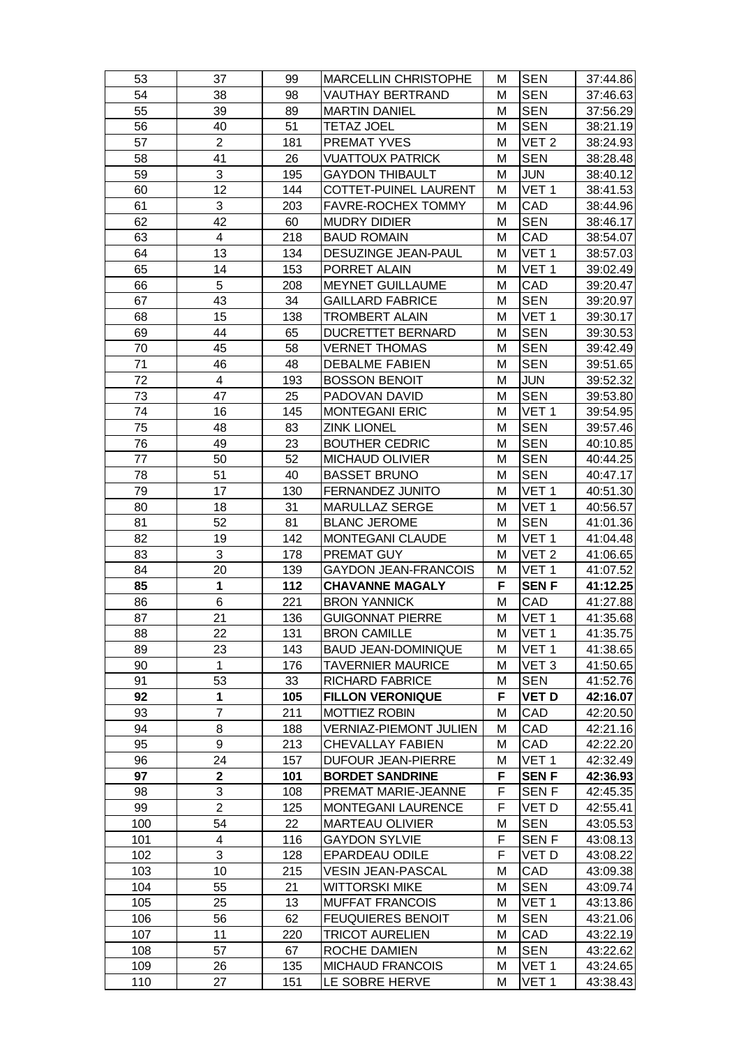| 53  | 37             | 99  | <b>MARCELLIN CHRISTOPHE</b>   | м | <b>SEN</b>       | 37:44.86 |
|-----|----------------|-----|-------------------------------|---|------------------|----------|
| 54  | 38             | 98  | VAUTHAY BERTRAND              | М | <b>SEN</b>       | 37:46.63 |
| 55  | 39             | 89  | <b>MARTIN DANIEL</b>          | М | <b>SEN</b>       | 37:56.29 |
| 56  | 40             | 51  | <b>TETAZ JOEL</b>             | М | <b>SEN</b>       | 38:21.19 |
| 57  | $\overline{2}$ | 181 | PREMAT YVES                   | М | VET <sub>2</sub> | 38:24.93 |
| 58  | 41             | 26  | <b>VUATTOUX PATRICK</b>       | М | <b>SEN</b>       | 38:28.48 |
| 59  | 3              | 195 | <b>GAYDON THIBAULT</b>        | М | <b>JUN</b>       | 38:40.12 |
| 60  | 12             | 144 | COTTET-PUINEL LAURENT         | М | VET <sub>1</sub> | 38:41.53 |
| 61  | 3              | 203 | FAVRE-ROCHEX TOMMY            | М | CAD              | 38:44.96 |
| 62  | 42             | 60  | <b>MUDRY DIDIER</b>           | М | <b>SEN</b>       | 38:46.17 |
| 63  | 4              | 218 | <b>BAUD ROMAIN</b>            | M | CAD              | 38:54.07 |
| 64  | 13             | 134 | DESUZINGE JEAN-PAUL           | M | VET <sub>1</sub> | 38:57.03 |
| 65  | 14             | 153 | PORRET ALAIN                  | М | VET <sub>1</sub> | 39:02.49 |
| 66  | 5              | 208 | <b>MEYNET GUILLAUME</b>       | М | CAD              | 39:20.47 |
| 67  | 43             | 34  | <b>GAILLARD FABRICE</b>       | М | <b>SEN</b>       | 39:20.97 |
| 68  | 15             | 138 | TROMBERT ALAIN                | М | VET <sub>1</sub> | 39:30.17 |
| 69  | 44             | 65  | DUCRETTET BERNARD             | М | <b>SEN</b>       | 39:30.53 |
| 70  | 45             | 58  | <b>VERNET THOMAS</b>          | М | <b>SEN</b>       | 39:42.49 |
| 71  | 46             | 48  | <b>DEBALME FABIEN</b>         | M | <b>SEN</b>       | 39:51.65 |
| 72  | 4              | 193 | <b>BOSSON BENOIT</b>          | М | <b>JUN</b>       | 39:52.32 |
| 73  | 47             | 25  | PADOVAN DAVID                 | М | <b>SEN</b>       | 39:53.80 |
| 74  | 16             | 145 | <b>MONTEGANI ERIC</b>         | М | VET <sub>1</sub> | 39:54.95 |
| 75  | 48             | 83  | <b>ZINK LIONEL</b>            | M | <b>SEN</b>       | 39:57.46 |
| 76  | 49             | 23  | <b>BOUTHER CEDRIC</b>         | M | <b>SEN</b>       | 40:10.85 |
| 77  | 50             | 52  | <b>MICHAUD OLIVIER</b>        | М | <b>SEN</b>       | 40:44.25 |
| 78  | 51             | 40  | <b>BASSET BRUNO</b>           | М | <b>SEN</b>       | 40:47.17 |
| 79  | 17             | 130 | FERNANDEZ JUNITO              | M | VET <sub>1</sub> | 40:51.30 |
| 80  | 18             | 31  | MARULLAZ SERGE                | М | VET <sub>1</sub> | 40:56.57 |
| 81  | 52             | 81  | <b>BLANC JEROME</b>           | М | <b>SEN</b>       | 41:01.36 |
| 82  | 19             | 142 | <b>MONTEGANI CLAUDE</b>       | М | VET <sub>1</sub> | 41:04.48 |
| 83  | 3              | 178 | PREMAT GUY                    | M | VET <sub>2</sub> | 41:06.65 |
| 84  | 20             | 139 | <b>GAYDON JEAN-FRANCOIS</b>   | М | VET <sub>1</sub> | 41:07.52 |
| 85  | 1              | 112 | <b>CHAVANNE MAGALY</b>        | F | <b>SENF</b>      | 41:12.25 |
| 86  | 6              | 221 | <b>BRON YANNICK</b>           | М | CAD              | 41:27.88 |
| 87  | 21             | 136 | <b>GUIGONNAT PIERRE</b>       | M | VET <sub>1</sub> | 41:35.68 |
| 88  | 22             | 131 | <b>BRON CAMILLE</b>           | М | VET 1            | 41:35.75 |
| 89  | 23             | 143 | <b>BAUD JEAN-DOMINIQUE</b>    | М | VET <sub>1</sub> | 41:38.65 |
| 90  | $\mathbf{1}$   | 176 | <b>TAVERNIER MAURICE</b>      | М | VET <sub>3</sub> | 41:50.65 |
| 91  | 53             | 33  | <b>RICHARD FABRICE</b>        | M | <b>SEN</b>       | 41:52.76 |
| 92  | $\mathbf{1}$   | 105 | <b>FILLON VERONIQUE</b>       | F | VET D            | 42:16.07 |
| 93  | $\overline{7}$ | 211 | MOTTIEZ ROBIN                 | М | CAD              | 42:20.50 |
| 94  | 8              | 188 | <b>VERNIAZ-PIEMONT JULIEN</b> | М | CAD              | 42:21.16 |
| 95  | 9              | 213 | CHEVALLAY FABIEN              | M | CAD              | 42:22.20 |
| 96  | 24             | 157 | DUFOUR JEAN-PIERRE            | М | VET <sub>1</sub> | 42:32.49 |
| 97  | $\mathbf 2$    | 101 | <b>BORDET SANDRINE</b>        | F | <b>SENF</b>      | 42:36.93 |
| 98  | 3              | 108 | PREMAT MARIE-JEANNE           | F | SEN F            | 42:45.35 |
| 99  | $\overline{2}$ | 125 | MONTEGANI LAURENCE            | F | VET D            | 42:55.41 |
| 100 | 54             | 22  | <b>MARTEAU OLIVIER</b>        | М | <b>SEN</b>       | 43:05.53 |
| 101 | 4              | 116 | <b>GAYDON SYLVIE</b>          | F | SEN F            | 43:08.13 |
| 102 | 3              | 128 | <b>EPARDEAU ODILE</b>         | F | VET D            | 43:08.22 |
| 103 | 10             | 215 | <b>VESIN JEAN-PASCAL</b>      | М | CAD              | 43:09.38 |
| 104 | 55             | 21  | WITTORSKI MIKE                | M | <b>SEN</b>       | 43:09.74 |
| 105 | 25             | 13  | <b>MUFFAT FRANCOIS</b>        | М | VET <sub>1</sub> | 43:13.86 |
| 106 | 56             | 62  | <b>FEUQUIERES BENOIT</b>      | М | <b>SEN</b>       | 43:21.06 |
| 107 | 11             | 220 | <b>TRICOT AURELIEN</b>        | M | CAD              | 43:22.19 |
| 108 | 57             | 67  | ROCHE DAMIEN                  | М | <b>SEN</b>       | 43:22.62 |
| 109 | 26             | 135 | <b>MICHAUD FRANCOIS</b>       | М | VET 1            | 43:24.65 |
| 110 | 27             | 151 | LE SOBRE HERVE                | М | VET 1            | 43:38.43 |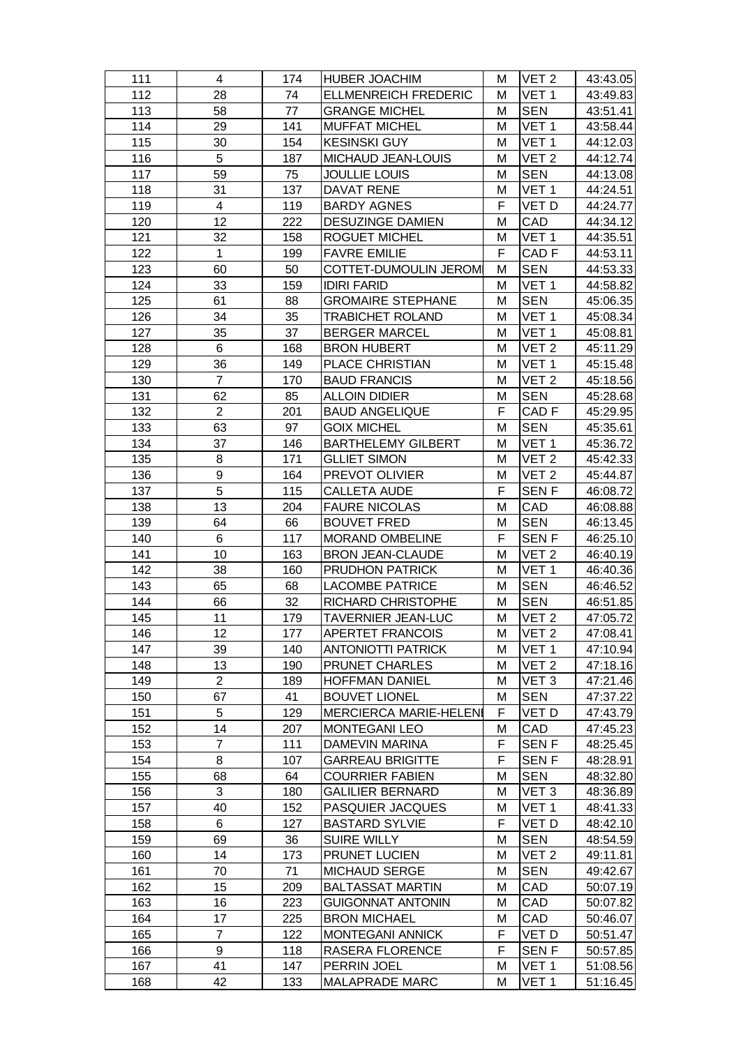| 111 | 4              | 174 | <b>HUBER JOACHIM</b>          | м | VET <sub>2</sub> | 43:43.05 |
|-----|----------------|-----|-------------------------------|---|------------------|----------|
| 112 | 28             | 74  | <b>ELLMENREICH FREDERIC</b>   | м | VET 1            | 43:49.83 |
| 113 | 58             | 77  | <b>GRANGE MICHEL</b>          | М | <b>SEN</b>       | 43:51.41 |
| 114 | 29             | 141 | <b>MUFFAT MICHEL</b>          | M | VET <sub>1</sub> | 43:58.44 |
| 115 | 30             | 154 | <b>KESINSKI GUY</b>           | м | VET <sub>1</sub> | 44:12.03 |
| 116 | 5              | 187 | MICHAUD JEAN-LOUIS            | М | VET <sub>2</sub> | 44:12.74 |
| 117 | 59             | 75  | <b>JOULLIE LOUIS</b>          | М | <b>SEN</b>       | 44:13.08 |
| 118 | 31             | 137 | <b>DAVAT RENE</b>             | M | VET <sub>1</sub> | 44:24.51 |
| 119 | 4              | 119 | <b>BARDY AGNES</b>            | F | VET D            | 44:24.77 |
| 120 | 12             | 222 | <b>DESUZINGE DAMIEN</b>       | M | CAD              | 44:34.12 |
| 121 | 32             | 158 | <b>ROGUET MICHEL</b>          | М | VET <sub>1</sub> | 44:35.51 |
| 122 | $\mathbf{1}$   | 199 | <b>FAVRE EMILIE</b>           | F | CAD <sub>F</sub> | 44:53.11 |
| 123 | 60             | 50  | COTTET-DUMOULIN JEROM         | M | <b>SEN</b>       | 44:53.33 |
| 124 | 33             | 159 | <b>IDIRI FARID</b>            | M | VET <sub>1</sub> | 44:58.82 |
| 125 | 61             | 88  | <b>GROMAIRE STEPHANE</b>      | M | <b>SEN</b>       | 45:06.35 |
| 126 | 34             | 35  | <b>TRABICHET ROLAND</b>       | M | VET <sub>1</sub> | 45:08.34 |
| 127 | 35             | 37  | <b>BERGER MARCEL</b>          | М | VET <sub>1</sub> | 45:08.81 |
| 128 | 6              | 168 | <b>BRON HUBERT</b>            | M | VET <sub>2</sub> | 45:11.29 |
| 129 | 36             | 149 | PLACE CHRISTIAN               | M | VET <sub>1</sub> | 45:15.48 |
| 130 | $\overline{7}$ | 170 | <b>BAUD FRANCIS</b>           | M | VET <sub>2</sub> | 45:18.56 |
| 131 | 62             | 85  | <b>ALLOIN DIDIER</b>          | М | SEN              | 45:28.68 |
| 132 | $\overline{2}$ | 201 | <b>BAUD ANGELIQUE</b>         | F | CAD <sub>F</sub> | 45:29.95 |
| 133 | 63             | 97  | <b>GOIX MICHEL</b>            | M | <b>SEN</b>       | 45:35.61 |
| 134 | 37             | 146 | <b>BARTHELEMY GILBERT</b>     | M | VET <sub>1</sub> | 45:36.72 |
| 135 | 8              | 171 | <b>GLLIET SIMON</b>           | М | VET 2            | 45:42.33 |
| 136 | 9              | 164 | PREVOT OLIVIER                | M | VET <sub>2</sub> | 45:44.87 |
| 137 | 5              | 115 | <b>CALLETA AUDE</b>           | F | <b>SENF</b>      | 46:08.72 |
| 138 | 13             | 204 | <b>FAURE NICOLAS</b>          | M | CAD              | 46:08.88 |
| 139 | 64             | 66  | <b>BOUVET FRED</b>            | M | <b>SEN</b>       | 46:13.45 |
| 140 | 6              | 117 | <b>MORAND OMBELINE</b>        | F | <b>SENF</b>      | 46:25.10 |
| 141 | 10             | 163 | <b>BRON JEAN-CLAUDE</b>       | M | VET <sub>2</sub> | 46:40.19 |
| 142 | 38             | 160 | <b>PRUDHON PATRICK</b>        | M | VET <sub>1</sub> | 46:40.36 |
| 143 | 65             | 68  | <b>LACOMBE PATRICE</b>        | М | <b>SEN</b>       | 46:46.52 |
| 144 | 66             | 32  | RICHARD CHRISTOPHE            | M | <b>SEN</b>       | 46:51.85 |
| 145 | 11             | 179 | <b>TAVERNIER JEAN-LUC</b>     | M | VET <sub>2</sub> | 47:05.72 |
| 146 | 12             | 177 | <b>APERTET FRANCOIS</b>       | м | VET <sub>2</sub> | 47:08.41 |
| 147 | 39             | 140 | <b>ANTONIOTTI PATRICK</b>     | М | VET <sub>1</sub> | 47:10.94 |
| 148 | 13             | 190 | PRUNET CHARLES                | M | VET <sub>2</sub> | 47:18.16 |
| 149 | $\overline{2}$ | 189 | <b>HOFFMAN DANIEL</b>         | M | VET <sub>3</sub> | 47:21.46 |
| 150 | 67             | 41  | <b>BOUVET LIONEL</b>          | M | <b>SEN</b>       | 47:37.22 |
| 151 | 5              | 129 | <b>MERCIERCA MARIE-HELENI</b> | F | VET D            | 47:43.79 |
| 152 | 14             | 207 | <b>MONTEGANI LEO</b>          | M | CAD              | 47:45.23 |
| 153 | 7              | 111 | DAMEVIN MARINA                | F | <b>SENF</b>      | 48:25.45 |
| 154 | 8              | 107 | <b>GARREAU BRIGITTE</b>       | F | SEN F            | 48:28.91 |
| 155 | 68             | 64  | <b>COURRIER FABIEN</b>        | М | SEN              | 48:32.80 |
| 156 | 3              | 180 | <b>GALILIER BERNARD</b>       | M | VET <sub>3</sub> | 48:36.89 |
| 157 | 40             | 152 | PASQUIER JACQUES              | М | VET 1            | 48:41.33 |
| 158 | 6              | 127 | <b>BASTARD SYLVIE</b>         | F | VET D            | 48:42.10 |
| 159 | 69             | 36  | SUIRE WILLY                   | М | <b>SEN</b>       | 48:54.59 |
| 160 | 14             | 173 | <b>PRUNET LUCIEN</b>          | M | VET <sub>2</sub> | 49:11.81 |
| 161 | 70             | 71  | <b>MICHAUD SERGE</b>          | M | <b>SEN</b>       | 49:42.67 |
| 162 | 15             | 209 | <b>BALTASSAT MARTIN</b>       | M | CAD              | 50:07.19 |
| 163 | 16             | 223 | <b>GUIGONNAT ANTONIN</b>      | М | CAD              | 50:07.82 |
| 164 | 17             | 225 | <b>BRON MICHAEL</b>           | M | CAD              | 50:46.07 |
| 165 | 7              | 122 | <b>MONTEGANI ANNICK</b>       | F | VET D            | 50:51.47 |
| 166 | 9              | 118 | RASERA FLORENCE               | F | <b>SENF</b>      | 50:57.85 |
| 167 | 41             | 147 | PERRIN JOEL                   | М | VET 1            | 51:08.56 |
| 168 | 42             | 133 | MALAPRADE MARC                | М | VET 1            | 51:16.45 |